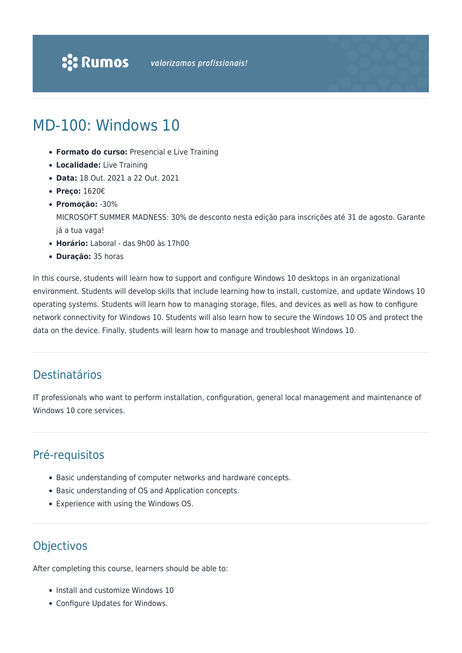# MD-100: Windows 10

- **Formato do curso:** Presencial e Live Training
- **Localidade:** Live Training
- **Data:** 18 Out. 2021 a 22 Out. 2021
- **Preço:** 1620€
- **Promoção:** -30%

MICROSOFT SUMMER MADNESS: 30% de desconto nesta edição para inscrições até 31 de agosto. Garante já a tua vaga!

- **Horário:** Laboral das 9h00 às 17h00
- **Duração:** 35 horas

In this course, students will learn how to support and configure Windows 10 desktops in an organizational environment. Students will develop skills that include learning how to install, customize, and update Windows 10 operating systems. Students will learn how to managing storage, files, and devices as well as how to configure network connectivity for Windows 10. Students will also learn how to secure the Windows 10 OS and protect the data on the device. Finally, students will learn how to manage and troubleshoot Windows 10.

# Destinatários

IT professionals who want to perform installation, configuration, general local management and maintenance of Windows 10 core services.

# Pré-requisitos

- Basic understanding of computer networks and hardware concepts.
- Basic understanding of OS and Application concepts.
- Experience with using the Windows OS.

# **Objectivos**

After completing this course, learners should be able to:

- Install and customize Windows 10
- Configure Updates for Windows.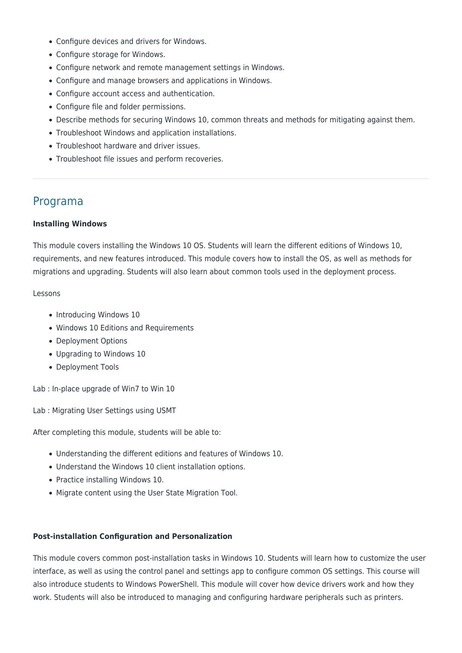- Configure devices and drivers for Windows.
- Configure storage for Windows.
- Configure network and remote management settings in Windows.
- Configure and manage browsers and applications in Windows.
- Configure account access and authentication.
- Configure file and folder permissions.
- Describe methods for securing Windows 10, common threats and methods for mitigating against them.
- Troubleshoot Windows and application installations.
- Troubleshoot hardware and driver issues.
- Troubleshoot file issues and perform recoveries.

# Programa

### **Installing Windows**

This module covers installing the Windows 10 OS. Students will learn the different editions of Windows 10, requirements, and new features introduced. This module covers how to install the OS, as well as methods for migrations and upgrading. Students will also learn about common tools used in the deployment process.

### Lessons

- Introducing Windows 10
- Windows 10 Editions and Requirements
- Deployment Options
- Upgrading to Windows 10
- Deployment Tools

Lab : In-place upgrade of Win7 to Win 10

Lab : Migrating User Settings using USMT

After completing this module, students will be able to:

- Understanding the different editions and features of Windows 10.
- Understand the Windows 10 client installation options.
- Practice installing Windows 10.
- Migrate content using the User State Migration Tool.

### **Post-installation Configuration and Personalization**

This module covers common post-installation tasks in Windows 10. Students will learn how to customize the user interface, as well as using the control panel and settings app to configure common OS settings. This course will also introduce students to Windows PowerShell. This module will cover how device drivers work and how they work. Students will also be introduced to managing and configuring hardware peripherals such as printers.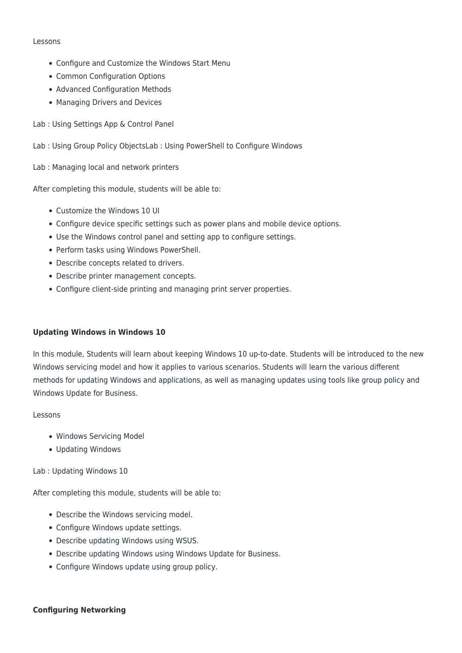#### Lessons

- Configure and Customize the Windows Start Menu
- Common Configuration Options
- Advanced Configuration Methods
- Managing Drivers and Devices
- Lab : Using Settings App & Control Panel
- Lab : Using Group Policy ObjectsLab : Using PowerShell to Configure Windows

Lab : Managing local and network printers

After completing this module, students will be able to:

- Customize the Windows 10 UI
- Configure device specific settings such as power plans and mobile device options.
- Use the Windows control panel and setting app to configure settings.
- Perform tasks using Windows PowerShell.
- Describe concepts related to drivers.
- Describe printer management concepts.
- Configure client-side printing and managing print server properties.

### **Updating Windows in Windows 10**

In this module, Students will learn about keeping Windows 10 up-to-date. Students will be introduced to the new Windows servicing model and how it applies to various scenarios. Students will learn the various different methods for updating Windows and applications, as well as managing updates using tools like group policy and Windows Update for Business.

#### Lessons

- Windows Servicing Model
- Updating Windows

Lab : Updating Windows 10

- Describe the Windows servicing model.
- Configure Windows update settings.
- Describe updating Windows using WSUS.
- Describe updating Windows using Windows Update for Business.
- Configure Windows update using group policy.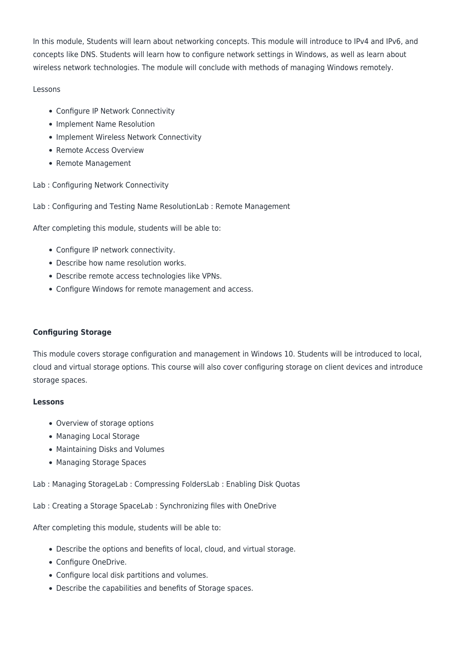In this module, Students will learn about networking concepts. This module will introduce to IPv4 and IPv6, and concepts like DNS. Students will learn how to configure network settings in Windows, as well as learn about wireless network technologies. The module will conclude with methods of managing Windows remotely.

# Lessons

- Configure IP Network Connectivity
- Implement Name Resolution
- Implement Wireless Network Connectivity
- Remote Access Overview
- Remote Management
- Lab : Configuring Network Connectivity
- Lab : Configuring and Testing Name ResolutionLab : Remote Management

After completing this module, students will be able to:

- Configure IP network connectivity.
- Describe how name resolution works.
- Describe remote access technologies like VPNs.
- Configure Windows for remote management and access.

# **Configuring Storage**

This module covers storage configuration and management in Windows 10. Students will be introduced to local, cloud and virtual storage options. This course will also cover configuring storage on client devices and introduce storage spaces.

# **Lessons**

- Overview of storage options
- Managing Local Storage
- Maintaining Disks and Volumes
- Managing Storage Spaces

Lab : Managing StorageLab : Compressing FoldersLab : Enabling Disk Quotas

Lab : Creating a Storage SpaceLab : Synchronizing files with OneDrive

- Describe the options and benefits of local, cloud, and virtual storage.
- Configure OneDrive.
- Configure local disk partitions and volumes.
- Describe the capabilities and benefits of Storage spaces.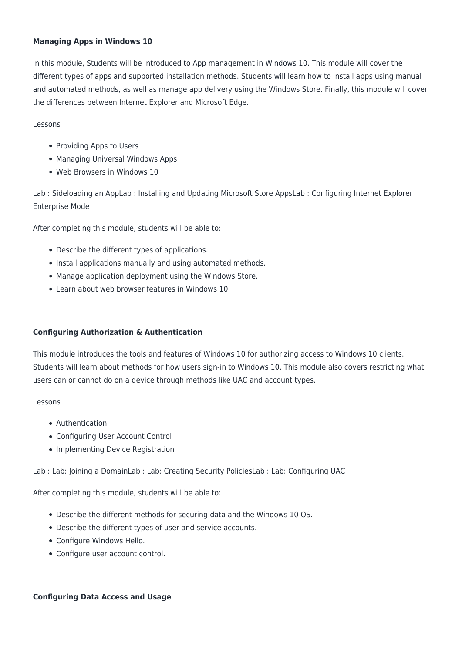# **Managing Apps in Windows 10**

In this module, Students will be introduced to App management in Windows 10. This module will cover the different types of apps and supported installation methods. Students will learn how to install apps using manual and automated methods, as well as manage app delivery using the Windows Store. Finally, this module will cover the differences between Internet Explorer and Microsoft Edge.

### Lessons

- Providing Apps to Users
- Managing Universal Windows Apps
- Web Browsers in Windows 10

Lab : Sideloading an AppLab : Installing and Updating Microsoft Store AppsLab : Configuring Internet Explorer Enterprise Mode

After completing this module, students will be able to:

- Describe the different types of applications.
- Install applications manually and using automated methods.
- Manage application deployment using the Windows Store.
- Learn about web browser features in Windows 10.

# **Configuring Authorization & Authentication**

This module introduces the tools and features of Windows 10 for authorizing access to Windows 10 clients. Students will learn about methods for how users sign-in to Windows 10. This module also covers restricting what users can or cannot do on a device through methods like UAC and account types.

### Lessons

- Authentication
- Configuring User Account Control
- Implementing Device Registration

Lab : Lab: Joining a DomainLab : Lab: Creating Security PoliciesLab : Lab: Configuring UAC

After completing this module, students will be able to:

- Describe the different methods for securing data and the Windows 10 OS.
- Describe the different types of user and service accounts.
- Configure Windows Hello.
- Configure user account control.

# **Configuring Data Access and Usage**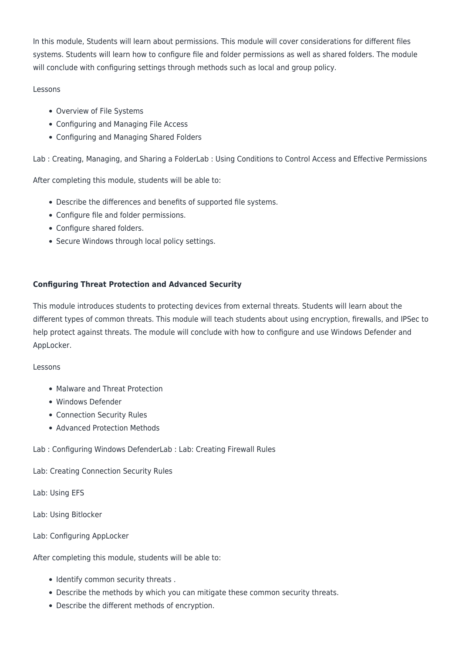In this module, Students will learn about permissions. This module will cover considerations for different files systems. Students will learn how to configure file and folder permissions as well as shared folders. The module will conclude with configuring settings through methods such as local and group policy.

# Lessons

- Overview of File Systems
- Configuring and Managing File Access
- Configuring and Managing Shared Folders

Lab : Creating, Managing, and Sharing a FolderLab : Using Conditions to Control Access and Effective Permissions

After completing this module, students will be able to:

- Describe the differences and benefits of supported file systems.
- Configure file and folder permissions.
- Configure shared folders.
- Secure Windows through local policy settings.

# **Configuring Threat Protection and Advanced Security**

This module introduces students to protecting devices from external threats. Students will learn about the different types of common threats. This module will teach students about using encryption, firewalls, and IPSec to help protect against threats. The module will conclude with how to configure and use Windows Defender and AppLocker.

# Lessons

- Malware and Threat Protection
- Windows Defender
- Connection Security Rules
- Advanced Protection Methods

# Lab : Configuring Windows DefenderLab : Lab: Creating Firewall Rules

Lab: Creating Connection Security Rules

Lab: Using EFS

Lab: Using Bitlocker

Lab: Configuring AppLocker

- Identify common security threats .
- Describe the methods by which you can mitigate these common security threats.
- Describe the different methods of encryption.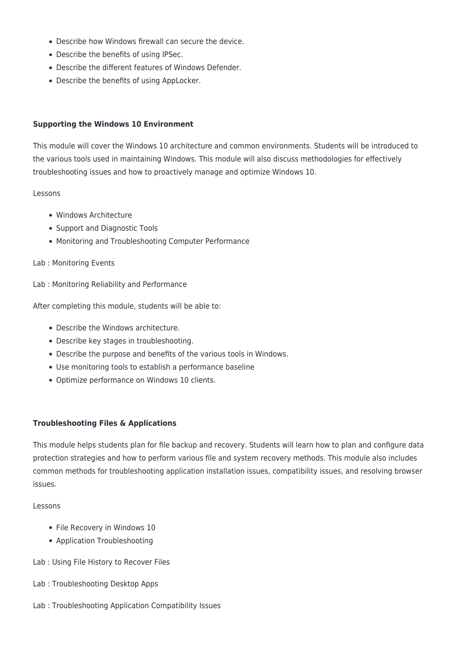- Describe how Windows firewall can secure the device.
- Describe the benefits of using IPSec.
- Describe the different features of Windows Defender.
- Describe the benefits of using AppLocker.

### **Supporting the Windows 10 Environment**

This module will cover the Windows 10 architecture and common environments. Students will be introduced to the various tools used in maintaining Windows. This module will also discuss methodologies for effectively troubleshooting issues and how to proactively manage and optimize Windows 10.

#### Lessons

- Windows Architecture
- Support and Diagnostic Tools
- Monitoring and Troubleshooting Computer Performance

### Lab : Monitoring Events

Lab : Monitoring Reliability and Performance

After completing this module, students will be able to:

- Describe the Windows architecture.
- Describe key stages in troubleshooting.
- Describe the purpose and benefits of the various tools in Windows.
- Use monitoring tools to establish a performance baseline
- Optimize performance on Windows 10 clients.

### **Troubleshooting Files & Applications**

This module helps students plan for file backup and recovery. Students will learn how to plan and configure data protection strategies and how to perform various file and system recovery methods. This module also includes common methods for troubleshooting application installation issues, compatibility issues, and resolving browser issues.

### Lessons

- File Recovery in Windows 10
- Application Troubleshooting
- Lab : Using File History to Recover Files
- Lab : Troubleshooting Desktop Apps
- Lab : Troubleshooting Application Compatibility Issues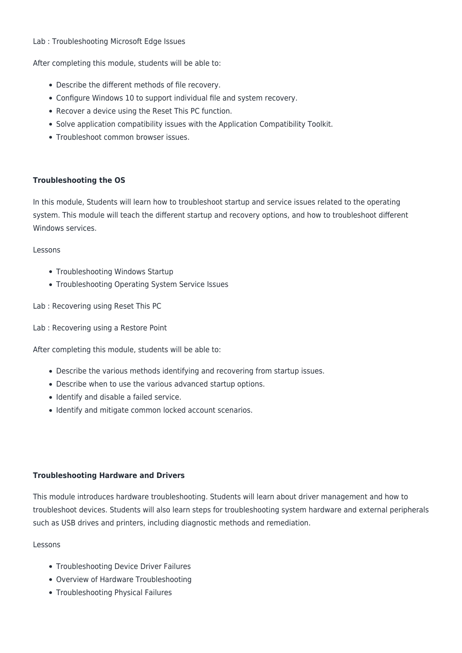## Lab : Troubleshooting Microsoft Edge Issues

After completing this module, students will be able to:

- Describe the different methods of file recovery.
- Configure Windows 10 to support individual file and system recovery.
- Recover a device using the Reset This PC function.
- Solve application compatibility issues with the Application Compatibility Toolkit.
- Troubleshoot common browser issues.

## **Troubleshooting the OS**

In this module, Students will learn how to troubleshoot startup and service issues related to the operating system. This module will teach the different startup and recovery options, and how to troubleshoot different Windows services.

## Lessons

- Troubleshooting Windows Startup
- Troubleshooting Operating System Service Issues
- Lab : Recovering using Reset This PC
- Lab : Recovering using a Restore Point

After completing this module, students will be able to:

- Describe the various methods identifying and recovering from startup issues.
- Describe when to use the various advanced startup options.
- Identify and disable a failed service.
- Identify and mitigate common locked account scenarios.

# **Troubleshooting Hardware and Drivers**

This module introduces hardware troubleshooting. Students will learn about driver management and how to troubleshoot devices. Students will also learn steps for troubleshooting system hardware and external peripherals such as USB drives and printers, including diagnostic methods and remediation.

### Lessons

- Troubleshooting Device Driver Failures
- Overview of Hardware Troubleshooting
- Troubleshooting Physical Failures